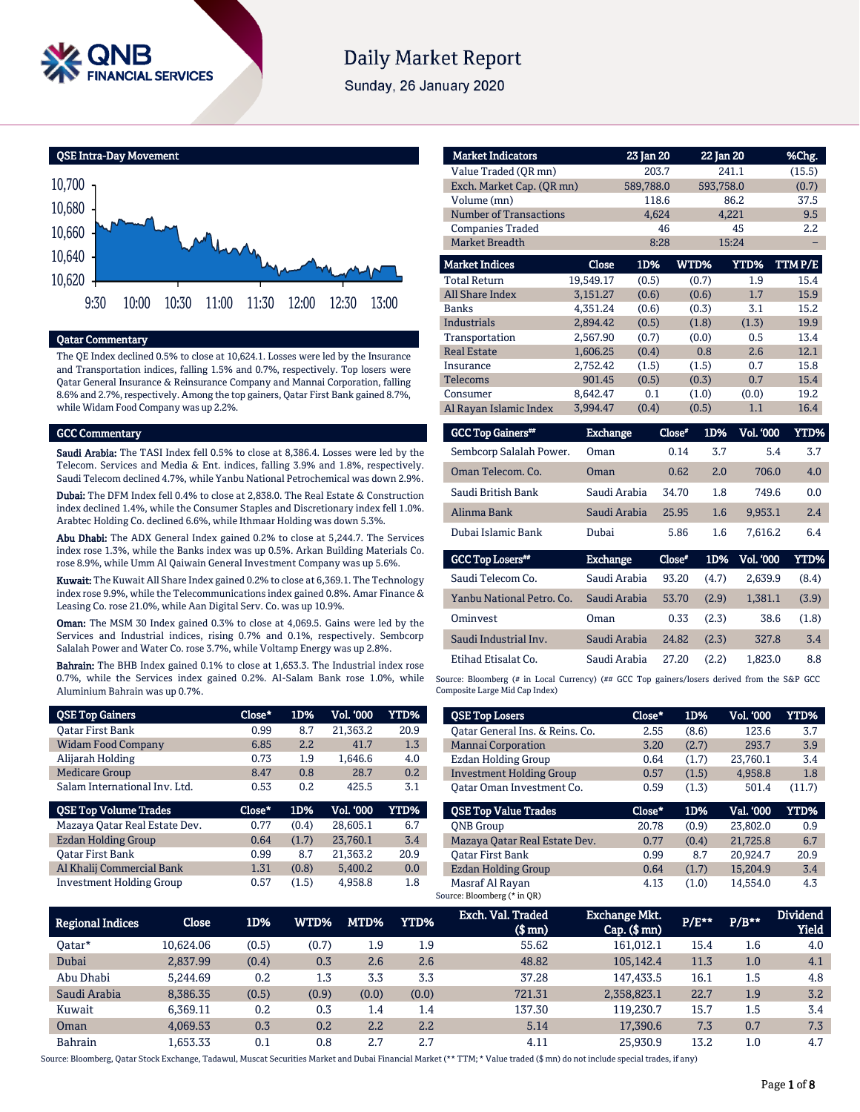

# **Daily Market Report**

Sunday, 26 January 2020



# Qatar Commentary

The QE Index declined 0.5% to close at 10,624.1. Losses were led by the Insurance and Transportation indices, falling 1.5% and 0.7%, respectively. Top losers were Qatar General Insurance & Reinsurance Company and Mannai Corporation, falling 8.6% and 2.7%, respectively. Among the top gainers, Qatar First Bank gained 8.7%, while Widam Food Company was up 2.2%.

#### GCC Commentary

Saudi Arabia: The TASI Index fell 0.5% to close at 8,386.4. Losses were led by the Telecom. Services and Media & Ent. indices, falling 3.9% and 1.8%, respectively. Saudi Telecom declined 4.7%, while Yanbu National Petrochemical was down 2.9%.

Dubai: The DFM Index fell 0.4% to close at 2,838.0. The Real Estate & Construction index declined 1.4%, while the Consumer Staples and Discretionary index fell 1.0%. Arabtec Holding Co. declined 6.6%, while Ithmaar Holding was down 5.3%.

Abu Dhabi: The ADX General Index gained 0.2% to close at 5,244.7. The Services index rose 1.3%, while the Banks index was up 0.5%. Arkan Building Materials Co. rose 8.9%, while Umm Al Qaiwain General Investment Company was up 5.6%.

Kuwait: The Kuwait All Share Index gained 0.2% to close at 6,369.1. The Technology index rose 9.9%, while the Telecommunications index gained 0.8%. Amar Finance & Leasing Co. rose 21.0%, while Aan Digital Serv. Co. was up 10.9%.

Oman: The MSM 30 Index gained 0.3% to close at 4,069.5. Gains were led by the Services and Industrial indices, rising 0.7% and 0.1%, respectively. Sembcorp Salalah Power and Water Co. rose 3.7%, while Voltamp Energy was up 2.8%.

Bahrain: The BHB Index gained 0.1% to close at 1,653.3. The Industrial index rose 0.7%, while the Services index gained 0.2%. Al-Salam Bank rose 1.0%, while Aluminium Bahrain was up 0.7%.

| <b>QSE Top Gainers</b>        | Close* | 1D%   | Vol. '000 | <b>YTD%</b> |
|-------------------------------|--------|-------|-----------|-------------|
| Oatar First Bank              | 0.99   | 8.7   | 21,363.2  | 20.9        |
| <b>Widam Food Company</b>     | 6.85   | 2.2   | 41.7      | 1.3         |
| Alijarah Holding              | 0.73   | 1.9   | 1.646.6   | 4.0         |
| <b>Medicare Group</b>         | 8.47   | 0.8   | 28.7      | 0.2         |
| Salam International Inv. Ltd. | 0.53   | 0.2   | 425.5     | 3.1         |
|                               |        |       |           |             |
| <b>QSE Top Volume Trades</b>  | Close* | 1D%   | Vol. '000 | YTD%        |
| Mazaya Qatar Real Estate Dev. | 0.77   | (0.4) | 28.605.1  | 6.7         |
| Ezdan Holding Group           | 0.64   | (1.7) | 23,760.1  | 3.4         |
| <b>Oatar First Bank</b>       | 0.99   | 8.7   | 21,363.2  | 20.9        |
| Al Khalij Commercial Bank     | 1.31   | (0.8) | 5.400.2   | 0.0         |

| <b>Market Indicators</b>      |                           | 23 Jan 20 |       | 22 Jan 20   | %Chg.  |
|-------------------------------|---------------------------|-----------|-------|-------------|--------|
| Value Traded (OR mn)          |                           | 203.7     |       | 241.1       |        |
|                               | Exch. Market Cap. (QR mn) |           |       | 593,758.0   | (0.7)  |
| Volume (mn)                   |                           | 118.6     |       | 86.2        | 37.5   |
| <b>Number of Transactions</b> |                           | 4,624     |       | 4,221       | 9.5    |
| <b>Companies Traded</b>       |                           | 46        |       | 45          | 2.2    |
| <b>Market Breadth</b>         |                           | 8:28      |       | 15:24       |        |
| <b>Market Indices</b>         | Close                     | 1D%       | WTD%  | <b>YTD%</b> | TTMP/E |
| <b>Total Return</b>           | 19,549.17                 | (0.5)     | (0.7) | 1.9         | 15.4   |
| <b>All Share Index</b>        | 3,151.27                  | (0.6)     | (0.6) | 1.7         | 15.9   |
| <b>Banks</b>                  | 4,351.24                  | (0.6)     | (0.3) | 3.1         | 15.2   |
| <b>Industrials</b>            | 2,894.42                  | (0.5)     | (1.8) | (1.3)       | 19.9   |
| Transportation                | 2,567.90                  | (0.7)     | (0.0) | 0.5         | 13.4   |
| <b>Real Estate</b>            | 1,606.25                  | (0.4)     | 0.8   | 2.6         | 12.1   |
| Insurance                     | 2,752.42                  | (1.5)     | (1.5) | 0.7         | 15.8   |
| <b>Telecoms</b>               | 901.45                    | (0.5)     | (0.3) | 0.7         | 15.4   |
| Consumer                      | 8,642.47                  | 0.1       | (1.0) | (0.0)       | 19.2   |
| Al Rayan Islamic Index        | 3,994.47                  | (0.4)     | (0.5) | 1.1         | 16.4   |

| <b>GCC Top Gainers**</b> | <b>Exchange</b> | Close* | 1D%   | Vol. '000        | YTD%  |
|--------------------------|-----------------|--------|-------|------------------|-------|
| Sembcorp Salalah Power.  | Oman            | 0.14   | 3.7   | 5.4              | 3.7   |
| Oman Telecom, Co.        | Oman            | 0.62   | 2.0   | 706.0            | 4.0   |
| Saudi British Bank       | Saudi Arabia    | 34.70  | 1.8   | 749.6            | 0.0   |
| Alinma Bank              | Saudi Arabia    | 25.95  | 1.6   | 9,953.1          | 2.4   |
| Dubai Islamic Bank       | Dubai           | 5.86   | 1.6   | 7.616.2          | 6.4   |
| <b>GCC Top Losers</b> ## | <b>Exchange</b> | Close* | 1D%   | <b>Vol. '000</b> | YTD%  |
| Saudi Telecom Co.        | Saudi Arabia    | 93.20  | (4.7) | 2.639.9          | (8.4) |

| Yanbu National Petro. Co. Saudi Arabia |              | 53.70       | (2.9)          | 1.381.1 | (3.9) |
|----------------------------------------|--------------|-------------|----------------|---------|-------|
| Ominyest                               | Oman         |             | $0.33$ $(2.3)$ | 38.6    | (1.8) |
| Saudi Industrial Inv.                  | Saudi Arabia | 24.82 (2.3) |                | 327.8   | 3.4   |
| Etihad Etisalat Co.                    | Saudi Arabia | 27.20       | (2.2)          | 1.823.0 | 8.8   |

Source: Bloomberg (# in Local Currency) (## GCC Top gainers/losers derived from the S&P GCC Composite Large Mid Cap Index)

| <b>QSE Top Losers</b>           | Close* | 1D%   | Vol. '000 | YTD%   |
|---------------------------------|--------|-------|-----------|--------|
| Oatar General Ins. & Reins. Co. | 2.55   | (8.6) | 123.6     | 3.7    |
| <b>Mannai Corporation</b>       | 3.20   | (2.7) | 293.7     | 3.9    |
| Ezdan Holding Group             | 0.64   | (1.7) | 23,760.1  | 3.4    |
| <b>Investment Holding Group</b> | 0.57   | (1.5) | 4,958.8   | 1.8    |
| Oatar Oman Investment Co.       | 0.59   | (1.3) | 501.4     | (11.7) |
|                                 |        |       |           |        |
| <b>OSE Top Value Trades</b>     | Close* | 1D%   | Val. 000  | YTD%   |
| <b>ONB</b> Group                | 20.78  | (0.9) | 23,802.0  | 0.9    |
| Mazaya Qatar Real Estate Dev.   | 0.77   | (0.4) | 21.725.8  | 6.7    |
| <b>Oatar First Bank</b>         | 0.99   | 8.7   | 20.924.7  | 20.9   |
| <b>Ezdan Holding Group</b>      | 0.64   | (1.7) | 15,204.9  | 3.4    |

| Regional Indices | Close     | 1D%   | WTD%  | MTD%  | YTD%  | Exch. Val. Traded<br>$$$ mn) | <b>Exchange Mkt.</b><br>$Cap.$ ( $$mn)$ | P/E** | $P/B**$ | <b>Dividend</b><br><b>Yield</b> |
|------------------|-----------|-------|-------|-------|-------|------------------------------|-----------------------------------------|-------|---------|---------------------------------|
| Oatar*           | 10.624.06 | (0.5) | (0.7) | 1.9   | 1.9   | 55.62                        | 161.012.1                               | 15.4  | 1.6     | 4.0                             |
| Dubai            | 2.837.99  | (0.4) | 0.3   | 2.6   | 2.6   | 48.82                        | 105,142.4                               | 11.3  | 1.0     | 4.1                             |
| Abu Dhabi        | 5.244.69  | 0.2   | 1.3   | 3.3   | 3.3   | 37.28                        | 147.433.5                               | 16.1  | $1.5\,$ | 4.8                             |
| Saudi Arabia     | 8,386.35  | (0.5) | (0.9) | (0.0) | (0.0) | 721.31                       | 2,358,823.1                             | 22.7  | 1.9     | 3.2                             |
| Kuwait           | 6.369.11  | 0.2   | 0.3   | 1.4   | 1.4   | 137.30                       | 119.230.7                               | 15.7  | $1.5\,$ | 3.4                             |
| Oman             | 4.069.53  | 0.3   | 0.2   | 2.2   | 2.2   | 5.14                         | 17.390.6                                | 7.3   | 0.7     | 7.3                             |
| <b>Bahrain</b>   | 1.653.33  | 0.1   | 0.8   | 2.7   | 2.7   | 4.11                         | 25.930.9                                | 13.2  | 1.0     | 4.7                             |

Source: Bloomberg, Qatar Stock Exchange, Tadawul, Muscat Securities Market and Dubai Financial Market (\*\* TTM; \* Value traded (\$ mn) do not include special trades, if any)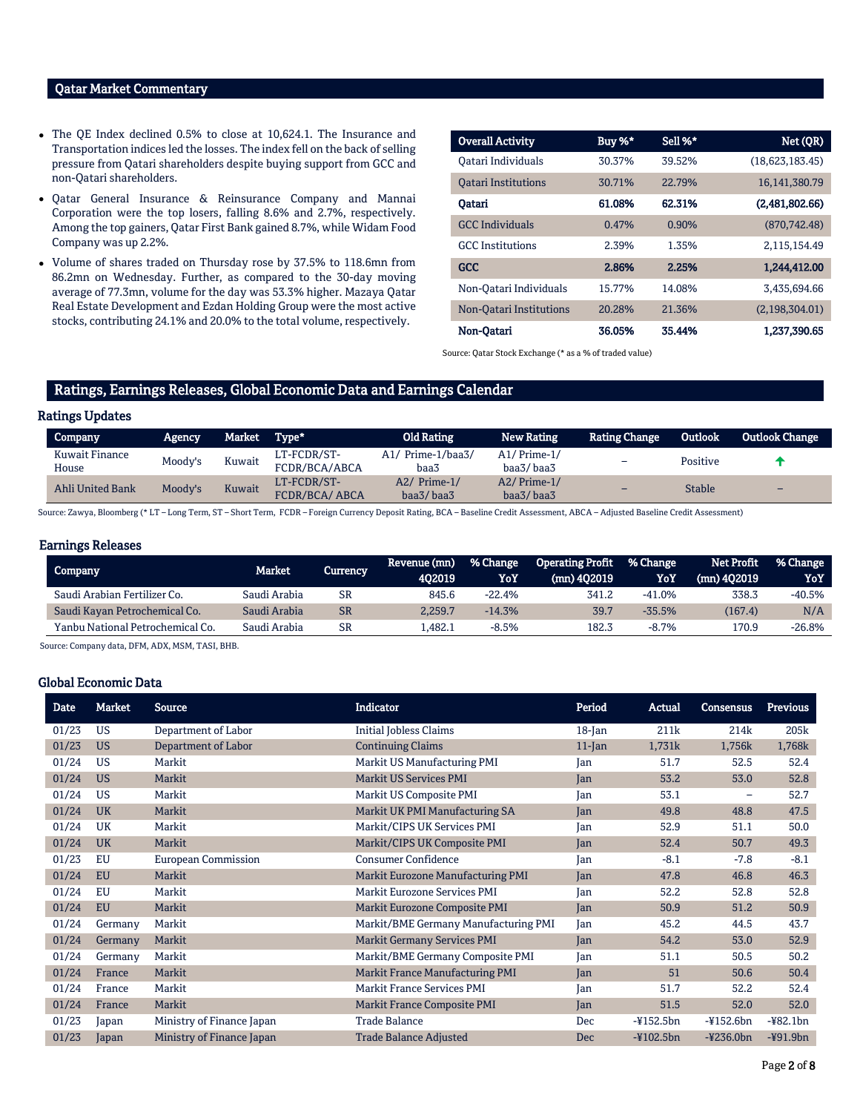# Qatar Market Commentary

- The QE Index declined 0.5% to close at 10,624.1. The Insurance and Transportation indices led the losses. The index fell on the back of selling pressure from Qatari shareholders despite buying support from GCC and non-Qatari shareholders.
- Qatar General Insurance & Reinsurance Company and Mannai Corporation were the top losers, falling 8.6% and 2.7%, respectively. Among the top gainers, Qatar First Bank gained 8.7%, while Widam Food Company was up 2.2%.
- Volume of shares traded on Thursday rose by 37.5% to 118.6mn from 86.2mn on Wednesday. Further, as compared to the 30-day moving average of 77.3mn, volume for the day was 53.3% higher. Mazaya Qatar Real Estate Development and Ezdan Holding Group were the most active stocks, contributing 24.1% and 20.0% to the total volume, respectively.

| <b>Overall Activity</b>    | Buy $%^*$ | Sell %* | Net (QR)        |
|----------------------------|-----------|---------|-----------------|
| Oatari Individuals         | 30.37%    | 39.52%  | (18,623,183,45) |
| <b>Oatari Institutions</b> | 30.71%    | 22.79%  | 16,141,380.79   |
| Oatari                     | 61.08%    | 62.31%  | (2,481,802.66)  |
| <b>GCC</b> Individuals     | 0.47%     | 0.90%   | (870.742.48)    |
| <b>GCC</b> Institutions    | 2.39%     | 1.35%   | 2.115.154.49    |
| <b>GCC</b>                 | 2.86%     | 2.25%   | 1.244.412.00    |
| Non-Qatari Individuals     | 15.77%    | 14.08%  | 3,435,694.66    |
| Non-Oatari Institutions    | 20.28%    | 21.36%  | (2,198,304.01)  |
| Non-Oatari                 | 36.05%    | 35.44%  | 1,237,390.65    |

Source: Qatar Stock Exchange (\* as a % of traded value)

# Ratings, Earnings Releases, Global Economic Data and Earnings Calendar

# Ratings Updates

| Company                 | Agency, | Market | Type*                               | <b>Old Rating</b>            | <b>New Rating</b>          | <b>Rating Change</b> | <b>Outlook</b> | <b>Outlook Change</b>    |
|-------------------------|---------|--------|-------------------------------------|------------------------------|----------------------------|----------------------|----------------|--------------------------|
| Kuwait Finance<br>House | Moody's | Kuwait | LT-FCDR/ST-<br>FCDR/BCA/ABCA        | Prime-1/baa3/<br>A1/<br>baa3 | $A1/Prime-1/$<br>baa3/baa3 |                      | Positive       |                          |
| Ahli United Bank        | Moody's | Kuwait | LT-FCDR/ST-<br><b>FCDR/BCA/ABCA</b> | A2/ Prime-1/<br>baa3/baa3    | $A2/Prime-1/$<br>baa3/baa3 | -                    | <b>Stable</b>  | $\overline{\phantom{0}}$ |

Source: Zawya, Bloomberg (\* LT – Long Term, ST – Short Term, FCDR – Foreign Currency Deposit Rating, BCA – Baseline Credit Assessment, ABCA – Adjusted Baseline Credit Assessment)

### Earnings Releases

| Company                          | Market       | Currency | Revenue (mn)<br>402019 | <b>% Change</b><br>YoY | Operating Profit % Change<br>(mn) 402019 | YoY       | Net Profit<br>$(mn)$ 402019 | % Change<br>YoY |
|----------------------------------|--------------|----------|------------------------|------------------------|------------------------------------------|-----------|-----------------------------|-----------------|
| Saudi Arabian Fertilizer Co.     | Saudi Arabia | SR       | 845.6                  | $-22.4%$               | 341.2                                    | $-41.0\%$ | 338.3                       | -40.5%          |
| Saudi Kayan Petrochemical Co.    | Saudi Arabia | SR       | 2.259.7                | $-14.3%$               | 39.7                                     | $-35.5%$  | (167.4)                     | N/A             |
| Yanbu National Petrochemical Co. | Saudi Arabia | SR       | .482.1                 | $-8.5%$                | 182.3                                    | $-8.7\%$  | 170.9                       | -26.8%          |

Source: Company data, DFM, ADX, MSM, TASI, BHB.

### Global Economic Data

| <b>Date</b> | <b>Market</b> | <b>Source</b>             | <b>Indicator</b>                     | Period    | Actual       | <b>Consensus</b> | <b>Previous</b> |
|-------------|---------------|---------------------------|--------------------------------------|-----------|--------------|------------------|-----------------|
| 01/23       | US            | Department of Labor       | <b>Initial Jobless Claims</b>        | $18$ -Jan | 211k         | 214k             | 205k            |
| 01/23       | <b>US</b>     | Department of Labor       | <b>Continuing Claims</b>             | $11$ -Jan | 1,731k       | 1,756k           | 1,768k          |
| 01/24       | US            | Markit                    | Markit US Manufacturing PMI          | Jan       | 51.7         | 52.5             | 52.4            |
| 01/24       | <b>US</b>     | Markit                    | <b>Markit US Services PMI</b>        | Jan       | 53.2         | 53.0             | 52.8            |
| 01/24       | US            | Markit                    | Markit US Composite PMI              | Jan       | 53.1         | -                | 52.7            |
| 01/24       | <b>UK</b>     | Markit                    | Markit UK PMI Manufacturing SA       | Jan       | 49.8         | 48.8             | 47.5            |
| 01/24       | <b>UK</b>     | Markit                    | Markit/CIPS UK Services PMI          | Jan       | 52.9         | 51.1             | 50.0            |
| 01/24       | <b>UK</b>     | Markit                    | Markit/CIPS UK Composite PMI         | Jan       | 52.4         | 50.7             | 49.3            |
| 01/23       | EU            | European Commission       | <b>Consumer Confidence</b>           | Jan       | $-8.1$       | $-7.8$           | $-8.1$          |
| 01/24       | EU            | Markit                    | Markit Eurozone Manufacturing PMI    | Jan       | 47.8         | 46.8             | 46.3            |
| 01/24       | EU            | Markit                    | <b>Markit Eurozone Services PMI</b>  | Jan       | 52.2         | 52.8             | 52.8            |
| 01/24       | <b>EU</b>     | Markit                    | Markit Eurozone Composite PMI        | Jan       | 50.9         | 51.2             | 50.9            |
| 01/24       | Germany       | Markit                    | Markit/BME Germany Manufacturing PMI | Jan       | 45.2         | 44.5             | 43.7            |
| 01/24       | Germany       | Markit                    | <b>Markit Germany Services PMI</b>   | Jan       | 54.2         | 53.0             | 52.9            |
| 01/24       | Germany       | Markit                    | Markit/BME Germany Composite PMI     | Jan       | 51.1         | 50.5             | 50.2            |
| 01/24       | France        | Markit                    | Markit France Manufacturing PMI      | Jan       | 51           | 50.6             | 50.4            |
| 01/24       | France        | Markit                    | <b>Markit France Services PMI</b>    | Jan       | 51.7         | 52.2             | 52.4            |
| 01/24       | France        | Markit                    | <b>Markit France Composite PMI</b>   | Jan       | 51.5         | 52.0             | 52.0            |
| 01/23       | Japan         | Ministry of Finance Japan | <b>Trade Balance</b>                 | Dec       | $-4152.5bn$  | $-4152.6bn$      | $-482.1bn$      |
| 01/23       | Japan         | Ministry of Finance Japan | <b>Trade Balance Adjusted</b>        | Dec       | $-4102.5$ bn | $-4236.0bn$      | $-491.9bn$      |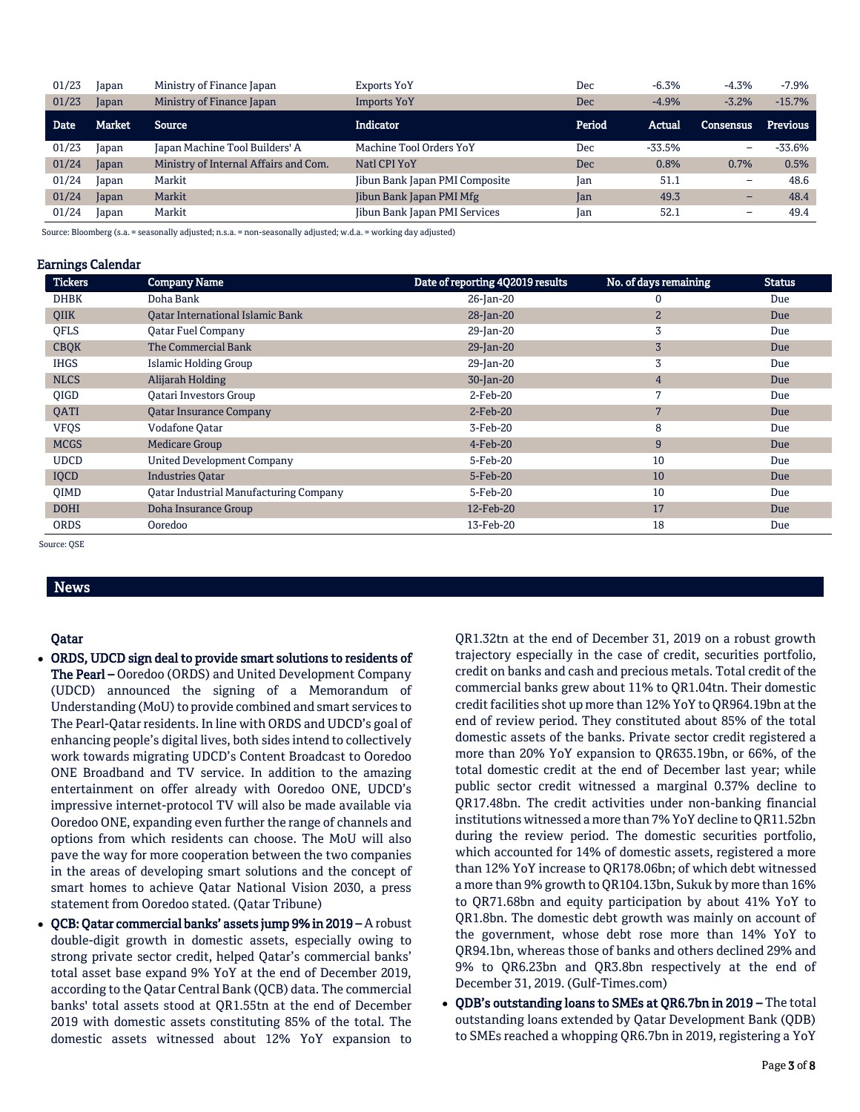| 01/23       | Japan  | Ministry of Finance Japan             | Exports YoY                          | Dec    | $-6.3%$  | $-4.3%$                  | $-7.9%$         |
|-------------|--------|---------------------------------------|--------------------------------------|--------|----------|--------------------------|-----------------|
| 01/23       | Japan  | Ministry of Finance Japan             | <b>Imports YoY</b>                   | Dec    | $-4.9%$  | $-3.2%$                  | $-15.7%$        |
| <b>Date</b> | Market | Source                                | <b>Indicator</b>                     | Period | Actual   | <b>Consensus</b>         | <b>Previous</b> |
| 01/23       | Japan  | Japan Machine Tool Builders' A        | Machine Tool Orders YoY              | Dec    | $-33.5%$ | -                        | -33.6%          |
| 01/24       | Japan  | Ministry of Internal Affairs and Com. | Natl CPI YoY                         | Dec    | 0.8%     | 0.7%                     | 0.5%            |
| 01/24       | Japan  | Markit                                | Jibun Bank Japan PMI Composite       | Ian    | 51.1     | $\qquad \qquad -$        | 48.6            |
| 01/24       | Japan  | Markit                                | Jibun Bank Japan PMI Mfg             | Jan    | 49.3     | $\overline{\phantom{0}}$ | 48.4            |
| 01/24       | Japan  | Markit                                | <b>Jibun Bank Japan PMI Services</b> | Jan    | 52.1     | $\overline{\phantom{0}}$ | 49.4            |

Source: Bloomberg (s.a. = seasonally adjusted; n.s.a. = non-seasonally adjusted; w.d.a. = working day adjusted)

#### Earnings Calendar

| <b>Tickers</b> | <b>Company Name</b>                     | Date of reporting 4Q2019 results | No. of days remaining | <b>Status</b> |
|----------------|-----------------------------------------|----------------------------------|-----------------------|---------------|
| <b>DHBK</b>    | Doha Bank                               | 26-Jan-20                        | 0                     | Due           |
| QIIK           | <b>Oatar International Islamic Bank</b> | 28-Jan-20                        | $\overline{2}$        | Due           |
| <b>OFLS</b>    | <b>Qatar Fuel Company</b>               | 29-Jan-20                        | 3                     | Due           |
| <b>CBQK</b>    | The Commercial Bank                     | $29$ -Jan-20                     | 3                     | Due           |
| <b>IHGS</b>    | Islamic Holding Group                   | 29-Jan-20                        | 3                     | Due           |
| <b>NLCS</b>    | Alijarah Holding                        | 30-Jan-20                        | $\overline{4}$        | Due           |
| <b>OIGD</b>    | <b>Oatari Investors Group</b>           | $2$ -Feb-20                      | 7                     | Due           |
| QATI           | <b>Qatar Insurance Company</b>          | $2$ -Feb-20                      | 7                     | Due           |
| <b>VFQS</b>    | <b>Vodafone Oatar</b>                   | 3-Feb-20                         | 8                     | Due           |
| <b>MCGS</b>    | <b>Medicare Group</b>                   | 4-Feb-20                         | 9                     | Due           |
| <b>UDCD</b>    | <b>United Development Company</b>       | 5-Feb-20                         | 10                    | Due           |
| IQCD           | <b>Industries Oatar</b>                 | 5-Feb-20                         | 10                    | Due           |
| QIMD           | Qatar Industrial Manufacturing Company  | 5-Feb-20                         | 10                    | Due           |
| <b>DOHI</b>    | Doha Insurance Group                    | 12-Feb-20                        | 17                    | Due           |
| <b>ORDS</b>    | Ooredoo                                 | 13-Feb-20                        | 18                    | Due           |

Source: QSE

# News

# Qatar

- ORDS, UDCD sign deal to provide smart solutions to residents of The Pearl – Ooredoo (ORDS) and United Development Company (UDCD) announced the signing of a Memorandum of Understanding (MoU) to provide combined and smart services to The Pearl-Qatar residents. In line with ORDS and UDCD's goal of enhancing people's digital lives, both sides intend to collectively work towards migrating UDCD's Content Broadcast to Ooredoo ONE Broadband and TV service. In addition to the amazing entertainment on offer already with Ooredoo ONE, UDCD's impressive internet-protocol TV will also be made available via Ooredoo ONE, expanding even further the range of channels and options from which residents can choose. The MoU will also pave the way for more cooperation between the two companies in the areas of developing smart solutions and the concept of smart homes to achieve Qatar National Vision 2030, a press statement from Ooredoo stated. (Qatar Tribune)
- QCB: Qatar commercial banks' assets jump 9% in 2019 A robust double-digit growth in domestic assets, especially owing to strong private sector credit, helped Qatar's commercial banks' total asset base expand 9% YoY at the end of December 2019, according to the Qatar Central Bank (QCB) data. The commercial banks' total assets stood at QR1.55tn at the end of December 2019 with domestic assets constituting 85% of the total. The domestic assets witnessed about 12% YoY expansion to

QR1.32tn at the end of December 31, 2019 on a robust growth trajectory especially in the case of credit, securities portfolio, credit on banks and cash and precious metals. Total credit of the commercial banks grew about 11% to QR1.04tn. Their domestic credit facilities shot up more than 12% YoY to QR964.19bn at the end of review period. They constituted about 85% of the total domestic assets of the banks. Private sector credit registered a more than 20% YoY expansion to QR635.19bn, or 66%, of the total domestic credit at the end of December last year; while public sector credit witnessed a marginal 0.37% decline to QR17.48bn. The credit activities under non-banking financial institutions witnessed a more than 7% YoY decline to QR11.52bn during the review period. The domestic securities portfolio, which accounted for 14% of domestic assets, registered a more than 12% YoY increase to QR178.06bn; of which debt witnessed a more than 9% growth to QR104.13bn, Sukuk by more than 16% to QR71.68bn and equity participation by about 41% YoY to QR1.8bn. The domestic debt growth was mainly on account of the government, whose debt rose more than 14% YoY to QR94.1bn, whereas those of banks and others declined 29% and 9% to QR6.23bn and QR3.8bn respectively at the end of December 31, 2019. (Gulf-Times.com)

 QDB's outstanding loans to SMEs at QR6.7bn in 2019 – The total outstanding loans extended by Qatar Development Bank (QDB) to SMEs reached a whopping QR6.7bn in 2019, registering a YoY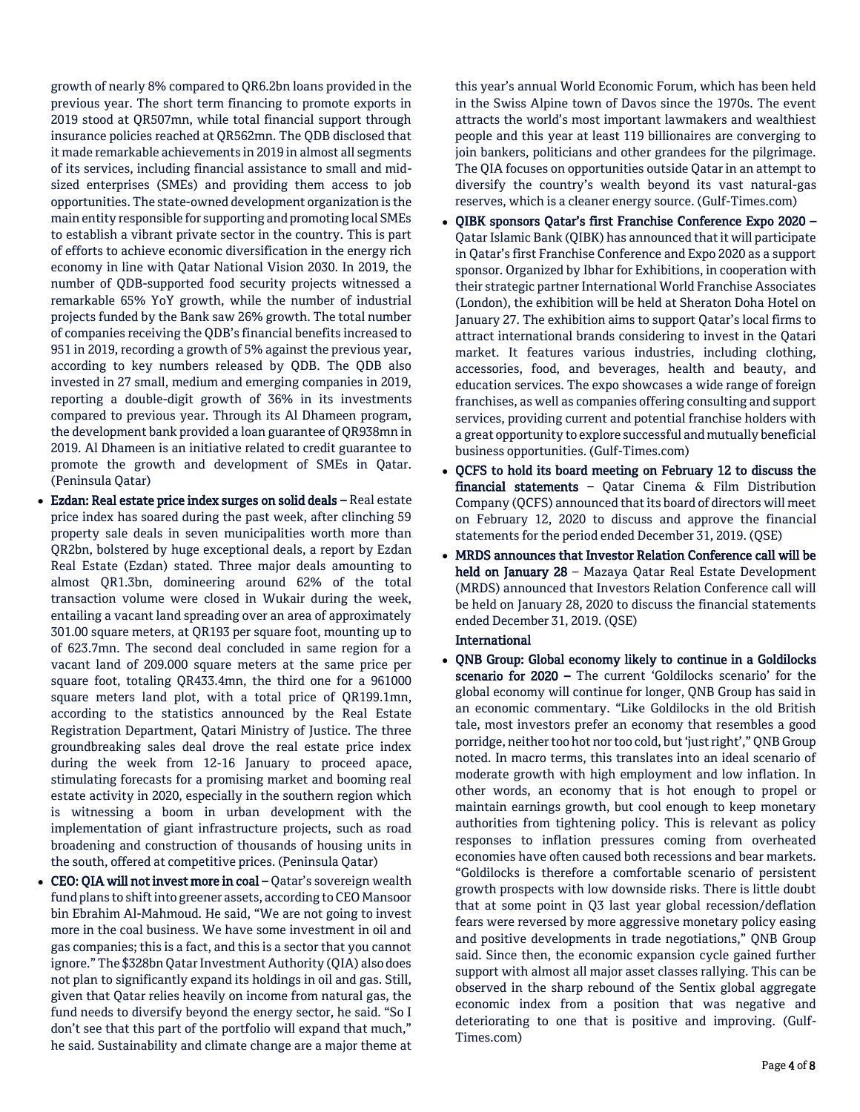growth of nearly 8% compared to QR6.2bn loans provided in the previous year. The short term financing to promote exports in 2019 stood at QR507mn, while total financial support through insurance policies reached at QR562mn. The QDB disclosed that it made remarkable achievements in 2019 in almost all segments of its services, including financial assistance to small and midsized enterprises (SMEs) and providing them access to job opportunities. The state-owned development organization is the main entity responsible for supporting and promoting local SMEs to establish a vibrant private sector in the country. This is part of efforts to achieve economic diversification in the energy rich economy in line with Qatar National Vision 2030. In 2019, the number of QDB-supported food security projects witnessed a remarkable 65% YoY growth, while the number of industrial projects funded by the Bank saw 26% growth. The total number of companies receiving the QDB's financial benefits increased to 951 in 2019, recording a growth of 5% against the previous year, according to key numbers released by QDB. The QDB also invested in 27 small, medium and emerging companies in 2019, reporting a double-digit growth of 36% in its investments compared to previous year. Through its Al Dhameen program, the development bank provided a loan guarantee of QR938mn in 2019. Al Dhameen is an initiative related to credit guarantee to promote the growth and development of SMEs in Qatar. (Peninsula Qatar)

- Ezdan: Real estate price index surges on solid deals Real estate price index has soared during the past week, after clinching 59 property sale deals in seven municipalities worth more than QR2bn, bolstered by huge exceptional deals, a report by Ezdan Real Estate (Ezdan) stated. Three major deals amounting to almost QR1.3bn, domineering around 62% of the total transaction volume were closed in Wukair during the week, entailing a vacant land spreading over an area of approximately 301.00 square meters, at QR193 per square foot, mounting up to of 623.7mn. The second deal concluded in same region for a vacant land of 209.000 square meters at the same price per square foot, totaling QR433.4mn, the third one for a 961000 square meters land plot, with a total price of QR199.1mn, according to the statistics announced by the Real Estate Registration Department, Qatari Ministry of Justice. The three groundbreaking sales deal drove the real estate price index during the week from 12-16 January to proceed apace, stimulating forecasts for a promising market and booming real estate activity in 2020, especially in the southern region which is witnessing a boom in urban development with the implementation of giant infrastructure projects, such as road broadening and construction of thousands of housing units in the south, offered at competitive prices. (Peninsula Qatar)
- CEO: QIA will not invest more in coal Qatar's sovereign wealth fund plans to shift into greener assets, according to CEO Mansoor bin Ebrahim Al-Mahmoud. He said, "We are not going to invest more in the coal business. We have some investment in oil and gas companies; this is a fact, and this is a sector that you cannot ignore." The \$328bn Qatar Investment Authority (QIA) also does not plan to significantly expand its holdings in oil and gas. Still, given that Qatar relies heavily on income from natural gas, the fund needs to diversify beyond the energy sector, he said. "So I don't see that this part of the portfolio will expand that much," he said. Sustainability and climate change are a major theme at

this year's annual World Economic Forum, which has been held in the Swiss Alpine town of Davos since the 1970s. The event attracts the world's most important lawmakers and wealthiest people and this year at least 119 billionaires are converging to join bankers, politicians and other grandees for the pilgrimage. The QIA focuses on opportunities outside Qatar in an attempt to diversify the country's wealth beyond its vast natural-gas reserves, which is a cleaner energy source. (Gulf-Times.com)

- QIBK sponsors Qatar's first Franchise Conference Expo 2020 Qatar Islamic Bank (QIBK) has announced that it will participate in Qatar's first Franchise Conference and Expo 2020 as a support sponsor. Organized by Ibhar for Exhibitions, in cooperation with their strategic partner International World Franchise Associates (London), the exhibition will be held at Sheraton Doha Hotel on January 27. The exhibition aims to support Qatar's local firms to attract international brands considering to invest in the Qatari market. It features various industries, including clothing, accessories, food, and beverages, health and beauty, and education services. The expo showcases a wide range of foreign franchises, as well as companies offering consulting and support services, providing current and potential franchise holders with a great opportunity to explore successful and mutually beneficial business opportunities. (Gulf-Times.com)
- QCFS to hold its board meeting on February 12 to discuss the financial statements – Qatar Cinema & Film Distribution Company (QCFS) announced that its board of directors will meet on February 12, 2020 to discuss and approve the financial statements for the period ended December 31, 2019. (QSE)
- MRDS announces that Investor Relation Conference call will be held on January 28 - Mazaya Qatar Real Estate Development (MRDS) announced that Investors Relation Conference call will be held on January 28, 2020 to discuss the financial statements ended December 31, 2019. (QSE)

# International

 QNB Group: Global economy likely to continue in a Goldilocks scenario for 2020 – The current 'Goldilocks scenario' for the global economy will continue for longer, QNB Group has said in an economic commentary. "Like Goldilocks in the old British tale, most investors prefer an economy that resembles a good porridge, neither too hot nor too cold, but 'just right'," QNB Group noted. In macro terms, this translates into an ideal scenario of moderate growth with high employment and low inflation. In other words, an economy that is hot enough to propel or maintain earnings growth, but cool enough to keep monetary authorities from tightening policy. This is relevant as policy responses to inflation pressures coming from overheated economies have often caused both recessions and bear markets. "Goldilocks is therefore a comfortable scenario of persistent growth prospects with low downside risks. There is little doubt that at some point in Q3 last year global recession/deflation fears were reversed by more aggressive monetary policy easing and positive developments in trade negotiations," QNB Group said. Since then, the economic expansion cycle gained further support with almost all major asset classes rallying. This can be observed in the sharp rebound of the Sentix global aggregate economic index from a position that was negative and deteriorating to one that is positive and improving. (Gulf-Times.com)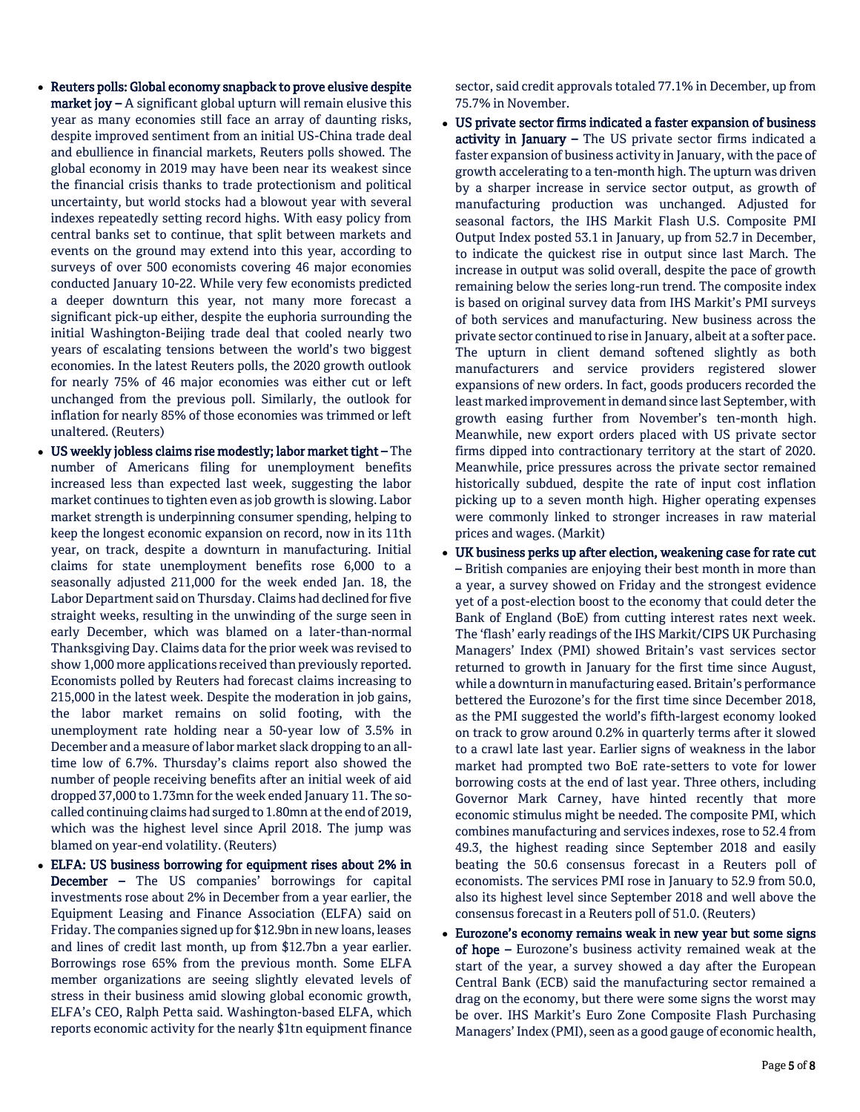- Reuters polls: Global economy snapback to prove elusive despite **market joy –** A significant global upturn will remain elusive this year as many economies still face an array of daunting risks, despite improved sentiment from an initial US-China trade deal and ebullience in financial markets, Reuters polls showed. The global economy in 2019 may have been near its weakest since the financial crisis thanks to trade protectionism and political uncertainty, but world stocks had a blowout year with several indexes repeatedly setting record highs. With easy policy from central banks set to continue, that split between markets and events on the ground may extend into this year, according to surveys of over 500 economists covering 46 major economies conducted January 10-22. While very few economists predicted a deeper downturn this year, not many more forecast a significant pick-up either, despite the euphoria surrounding the initial Washington-Beijing trade deal that cooled nearly two years of escalating tensions between the world's two biggest economies. In the latest Reuters polls, the 2020 growth outlook for nearly 75% of 46 major economies was either cut or left unchanged from the previous poll. Similarly, the outlook for inflation for nearly 85% of those economies was trimmed or left unaltered. (Reuters)
- US weekly jobless claims rise modestly; labor market tight The number of Americans filing for unemployment benefits increased less than expected last week, suggesting the labor market continues to tighten even as job growth is slowing. Labor market strength is underpinning consumer spending, helping to keep the longest economic expansion on record, now in its 11th year, on track, despite a downturn in manufacturing. Initial claims for state unemployment benefits rose 6,000 to a seasonally adjusted 211,000 for the week ended Jan. 18, the Labor Department said on Thursday. Claims had declined for five straight weeks, resulting in the unwinding of the surge seen in early December, which was blamed on a later-than-normal Thanksgiving Day. Claims data for the prior week was revised to show 1,000 more applications received than previously reported. Economists polled by Reuters had forecast claims increasing to 215,000 in the latest week. Despite the moderation in job gains, the labor market remains on solid footing, with the unemployment rate holding near a 50-year low of 3.5% in December and a measure of labor market slack dropping to an alltime low of 6.7%. Thursday's claims report also showed the number of people receiving benefits after an initial week of aid dropped 37,000 to 1.73mn for the week ended January 11. The socalled continuing claims had surged to 1.80mn at the end of 2019, which was the highest level since April 2018. The jump was blamed on year-end volatility. (Reuters)
- ELFA: US business borrowing for equipment rises about 2% in December – The US companies' borrowings for capital investments rose about 2% in December from a year earlier, the Equipment Leasing and Finance Association (ELFA) said on Friday. The companies signed up for \$12.9bn in new loans, leases and lines of credit last month, up from \$12.7bn a year earlier. Borrowings rose 65% from the previous month. Some ELFA member organizations are seeing slightly elevated levels of stress in their business amid slowing global economic growth, ELFA's CEO, Ralph Petta said. Washington-based ELFA, which reports economic activity for the nearly \$1tn equipment finance

sector, said credit approvals totaled 77.1% in December, up from 75.7% in November.

- US private sector firms indicated a faster expansion of business activity in January - The US private sector firms indicated a faster expansion of business activity in January, with the pace of growth accelerating to a ten-month high. The upturn was driven by a sharper increase in service sector output, as growth of manufacturing production was unchanged. Adjusted for seasonal factors, the IHS Markit Flash U.S. Composite PMI Output Index posted 53.1 in January, up from 52.7 in December, to indicate the quickest rise in output since last March. The increase in output was solid overall, despite the pace of growth remaining below the series long-run trend. The composite index is based on original survey data from IHS Markit's PMI surveys of both services and manufacturing. New business across the private sector continued to rise in January, albeit at a softer pace. The upturn in client demand softened slightly as both manufacturers and service providers registered slower expansions of new orders. In fact, goods producers recorded the least marked improvement in demand since last September, with growth easing further from November's ten-month high. Meanwhile, new export orders placed with US private sector firms dipped into contractionary territory at the start of 2020. Meanwhile, price pressures across the private sector remained historically subdued, despite the rate of input cost inflation picking up to a seven month high. Higher operating expenses were commonly linked to stronger increases in raw material prices and wages. (Markit)
- UK business perks up after election, weakening case for rate cut – British companies are enjoying their best month in more than a year, a survey showed on Friday and the strongest evidence yet of a post-election boost to the economy that could deter the Bank of England (BoE) from cutting interest rates next week. The 'flash' early readings of the IHS Markit/CIPS UK Purchasing Managers' Index (PMI) showed Britain's vast services sector returned to growth in January for the first time since August, while a downturn in manufacturing eased. Britain's performance bettered the Eurozone's for the first time since December 2018, as the PMI suggested the world's fifth-largest economy looked on track to grow around 0.2% in quarterly terms after it slowed to a crawl late last year. Earlier signs of weakness in the labor market had prompted two BoE rate-setters to vote for lower borrowing costs at the end of last year. Three others, including Governor Mark Carney, have hinted recently that more economic stimulus might be needed. The composite PMI, which combines manufacturing and services indexes, rose to 52.4 from 49.3, the highest reading since September 2018 and easily beating the 50.6 consensus forecast in a Reuters poll of economists. The services PMI rose in January to 52.9 from 50.0, also its highest level since September 2018 and well above the consensus forecast in a Reuters poll of 51.0. (Reuters)
- Eurozone's economy remains weak in new year but some signs of hope – Eurozone's business activity remained weak at the start of the year, a survey showed a day after the European Central Bank (ECB) said the manufacturing sector remained a drag on the economy, but there were some signs the worst may be over. IHS Markit's Euro Zone Composite Flash Purchasing Managers' Index (PMI), seen as a good gauge of economic health,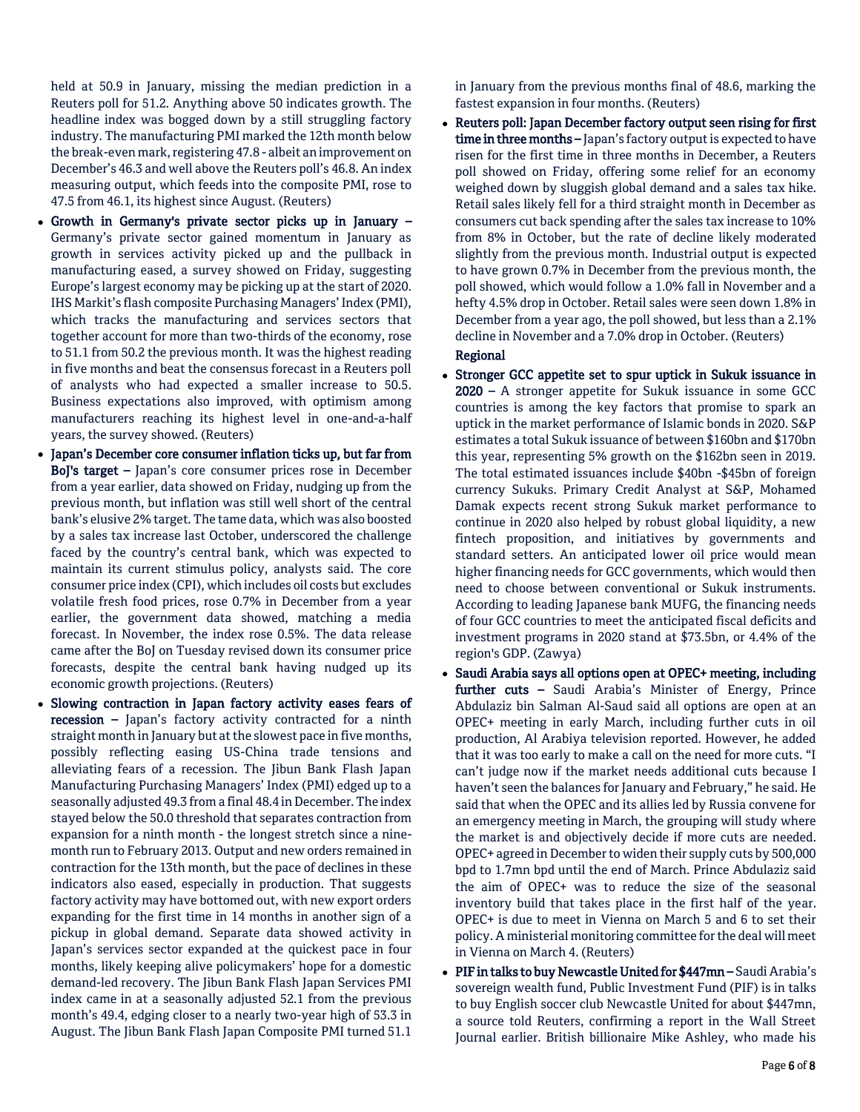held at 50.9 in January, missing the median prediction in a Reuters poll for 51.2. Anything above 50 indicates growth. The headline index was bogged down by a still struggling factory industry. The manufacturing PMI marked the 12th month below the break-even mark, registering 47.8 - albeit an improvement on December's 46.3 and well above the Reuters poll's 46.8. An index measuring output, which feeds into the composite PMI, rose to 47.5 from 46.1, its highest since August. (Reuters)

- Growth in Germany's private sector picks up in January Germany's private sector gained momentum in January as growth in services activity picked up and the pullback in manufacturing eased, a survey showed on Friday, suggesting Europe's largest economy may be picking up at the start of 2020. IHS Markit's flash composite Purchasing Managers' Index (PMI), which tracks the manufacturing and services sectors that together account for more than two-thirds of the economy, rose to 51.1 from 50.2 the previous month. It was the highest reading in five months and beat the consensus forecast in a Reuters poll of analysts who had expected a smaller increase to 50.5. Business expectations also improved, with optimism among manufacturers reaching its highest level in one-and-a-half years, the survey showed. (Reuters)
- Japan's December core consumer inflation ticks up, but far from BoJ's target – Japan's core consumer prices rose in December from a year earlier, data showed on Friday, nudging up from the previous month, but inflation was still well short of the central bank's elusive 2% target. The tame data, which was also boosted by a sales tax increase last October, underscored the challenge faced by the country's central bank, which was expected to maintain its current stimulus policy, analysts said. The core consumer price index (CPI), which includes oil costs but excludes volatile fresh food prices, rose 0.7% in December from a year earlier, the government data showed, matching a media forecast. In November, the index rose 0.5%. The data release came after the BoJ on Tuesday revised down its consumer price forecasts, despite the central bank having nudged up its economic growth projections. (Reuters)
- Slowing contraction in Japan factory activity eases fears of recession – Japan's factory activity contracted for a ninth straight month in January but at the slowest pace in five months, possibly reflecting easing US-China trade tensions and alleviating fears of a recession. The Jibun Bank Flash Japan Manufacturing Purchasing Managers' Index (PMI) edged up to a seasonally adjusted 49.3 from a final 48.4 in December. The index stayed below the 50.0 threshold that separates contraction from expansion for a ninth month - the longest stretch since a ninemonth run to February 2013. Output and new orders remained in contraction for the 13th month, but the pace of declines in these indicators also eased, especially in production. That suggests factory activity may have bottomed out, with new export orders expanding for the first time in 14 months in another sign of a pickup in global demand. Separate data showed activity in Japan's services sector expanded at the quickest pace in four months, likely keeping alive policymakers' hope for a domestic demand-led recovery. The Jibun Bank Flash Japan Services PMI index came in at a seasonally adjusted 52.1 from the previous month's 49.4, edging closer to a nearly two-year high of 53.3 in August. The Jibun Bank Flash Japan Composite PMI turned 51.1

in January from the previous months final of 48.6, marking the fastest expansion in four months. (Reuters)

 Reuters poll: Japan December factory output seen rising for first time in three months - Japan's factory output is expected to have risen for the first time in three months in December, a Reuters poll showed on Friday, offering some relief for an economy weighed down by sluggish global demand and a sales tax hike. Retail sales likely fell for a third straight month in December as consumers cut back spending after the sales tax increase to 10% from 8% in October, but the rate of decline likely moderated slightly from the previous month. Industrial output is expected to have grown 0.7% in December from the previous month, the poll showed, which would follow a 1.0% fall in November and a hefty 4.5% drop in October. Retail sales were seen down 1.8% in December from a year ago, the poll showed, but less than a 2.1% decline in November and a 7.0% drop in October. (Reuters)

# Regional

- Stronger GCC appetite set to spur uptick in Sukuk issuance in 2020 – A stronger appetite for Sukuk issuance in some GCC countries is among the key factors that promise to spark an uptick in the market performance of Islamic bonds in 2020. S&P estimates a total Sukuk issuance of between \$160bn and \$170bn this year, representing 5% growth on the \$162bn seen in 2019. The total estimated issuances include \$40bn -\$45bn of foreign currency Sukuks. Primary Credit Analyst at S&P, Mohamed Damak expects recent strong Sukuk market performance to continue in 2020 also helped by robust global liquidity, a new fintech proposition, and initiatives by governments and standard setters. An anticipated lower oil price would mean higher financing needs for GCC governments, which would then need to choose between conventional or Sukuk instruments. According to leading Japanese bank MUFG, the financing needs of four GCC countries to meet the anticipated fiscal deficits and investment programs in 2020 stand at \$73.5bn, or 4.4% of the region's GDP. (Zawya)
- Saudi Arabia says all options open at OPEC+ meeting, including further cuts - Saudi Arabia's Minister of Energy, Prince Abdulaziz bin Salman Al-Saud said all options are open at an OPEC+ meeting in early March, including further cuts in oil production, Al Arabiya television reported. However, he added that it was too early to make a call on the need for more cuts. "I can't judge now if the market needs additional cuts because I haven't seen the balances for January and February," he said. He said that when the OPEC and its allies led by Russia convene for an emergency meeting in March, the grouping will study where the market is and objectively decide if more cuts are needed. OPEC+ agreed in December to widen their supply cuts by 500,000 bpd to 1.7mn bpd until the end of March. Prince Abdulaziz said the aim of OPEC+ was to reduce the size of the seasonal inventory build that takes place in the first half of the year. OPEC+ is due to meet in Vienna on March 5 and 6 to set their policy. A ministerial monitoring committee for the deal will meet in Vienna on March 4. (Reuters)
- PIF in talks to buy Newcastle United for \$447mn Saudi Arabia's sovereign wealth fund, Public Investment Fund (PIF) is in talks to buy English soccer club Newcastle United for about \$447mn, a source told Reuters, confirming a report in the Wall Street Journal earlier. British billionaire Mike Ashley, who made his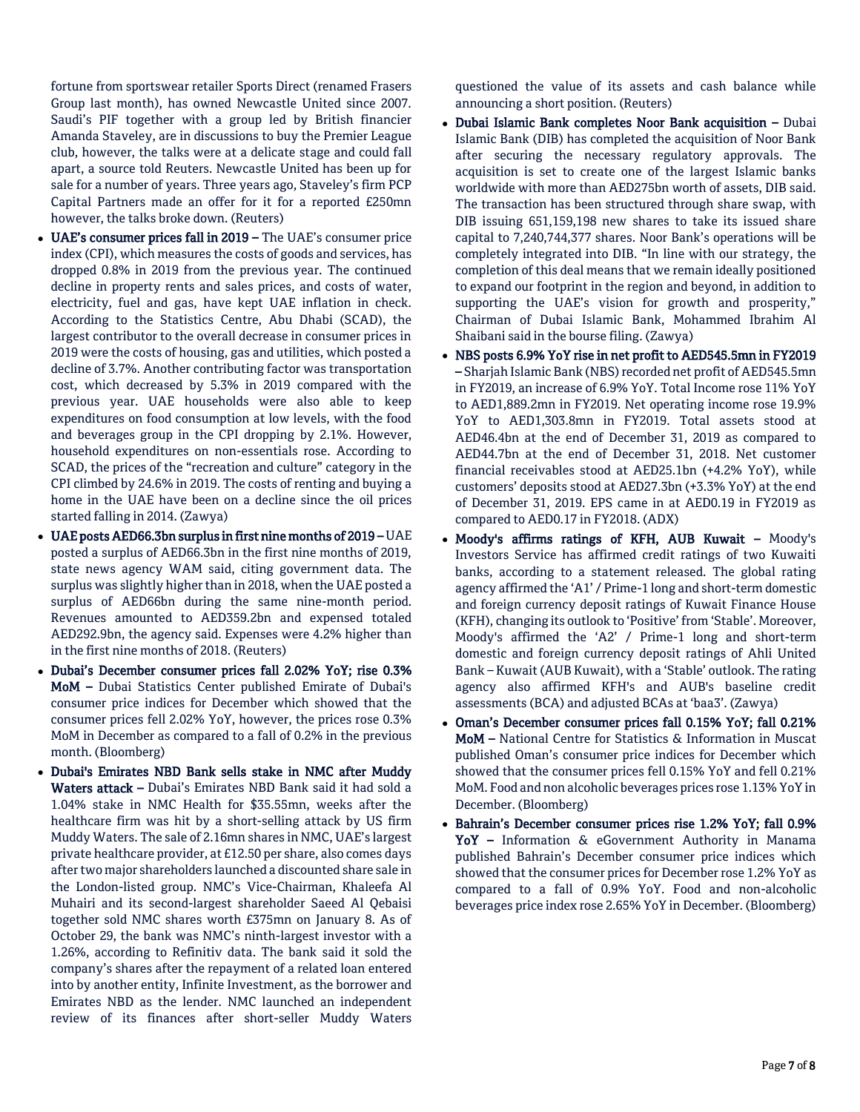fortune from sportswear retailer Sports Direct (renamed Frasers Group last month), has owned Newcastle United since 2007. Saudi's PIF together with a group led by British financier Amanda Staveley, are in discussions to buy the Premier League club, however, the talks were at a delicate stage and could fall apart, a source told Reuters. Newcastle United has been up for sale for a number of years. Three years ago, Staveley's firm PCP Capital Partners made an offer for it for a reported £250mn however, the talks broke down. (Reuters)

- UAE's consumer prices fall in 2019 The UAE's consumer price index (CPI), which measures the costs of goods and services, has dropped 0.8% in 2019 from the previous year. The continued decline in property rents and sales prices, and costs of water, electricity, fuel and gas, have kept UAE inflation in check. According to the Statistics Centre, Abu Dhabi (SCAD), the largest contributor to the overall decrease in consumer prices in 2019 were the costs of housing, gas and utilities, which posted a decline of 3.7%. Another contributing factor was transportation cost, which decreased by 5.3% in 2019 compared with the previous year. UAE households were also able to keep expenditures on food consumption at low levels, with the food and beverages group in the CPI dropping by 2.1%. However, household expenditures on non-essentials rose. According to SCAD, the prices of the "recreation and culture" category in the CPI climbed by 24.6% in 2019. The costs of renting and buying a home in the UAE have been on a decline since the oil prices started falling in 2014. (Zawya)
- UAE posts AED66.3bn surplus in first nine months of 2019 UAE posted a surplus of AED66.3bn in the first nine months of 2019, state news agency WAM said, citing government data. The surplus was slightly higher than in 2018, when the UAE posted a surplus of AED66bn during the same nine-month period. Revenues amounted to AED359.2bn and expensed totaled AED292.9bn, the agency said. Expenses were 4.2% higher than in the first nine months of 2018. (Reuters)
- Dubai's December consumer prices fall 2.02% YoY; rise 0.3% MoM – Dubai Statistics Center published Emirate of Dubai's consumer price indices for December which showed that the consumer prices fell 2.02% YoY, however, the prices rose 0.3% MoM in December as compared to a fall of 0.2% in the previous month. (Bloomberg)
- Dubai's Emirates NBD Bank sells stake in NMC after Muddy Waters attack – Dubai's Emirates NBD Bank said it had sold a 1.04% stake in NMC Health for \$35.55mn, weeks after the healthcare firm was hit by a short-selling attack by US firm Muddy Waters. The sale of 2.16mn shares in NMC, UAE's largest private healthcare provider, at £12.50 per share, also comes days after two major shareholders launched a discounted share sale in the London-listed group. NMC's Vice-Chairman, Khaleefa Al Muhairi and its second-largest shareholder Saeed Al Qebaisi together sold NMC shares worth £375mn on January 8. As of October 29, the bank was NMC's ninth-largest investor with a 1.26%, according to Refinitiv data. The bank said it sold the company's shares after the repayment of a related loan entered into by another entity, Infinite Investment, as the borrower and Emirates NBD as the lender. NMC launched an independent review of its finances after short-seller Muddy Waters

questioned the value of its assets and cash balance while announcing a short position. (Reuters)

- Dubai Islamic Bank completes Noor Bank acquisition Dubai Islamic Bank (DIB) has completed the acquisition of Noor Bank after securing the necessary regulatory approvals. The acquisition is set to create one of the largest Islamic banks worldwide with more than AED275bn worth of assets, DIB said. The transaction has been structured through share swap, with DIB issuing 651,159,198 new shares to take its issued share capital to 7,240,744,377 shares. Noor Bank's operations will be completely integrated into DIB. "In line with our strategy, the completion of this deal means that we remain ideally positioned to expand our footprint in the region and beyond, in addition to supporting the UAE's vision for growth and prosperity," Chairman of Dubai Islamic Bank, Mohammed Ibrahim Al Shaibani said in the bourse filing. (Zawya)
- NBS posts 6.9% YoY rise in net profit to AED545.5mn in FY2019 – Sharjah Islamic Bank (NBS) recorded net profit of AED545.5mn in FY2019, an increase of 6.9% YoY. Total Income rose 11% YoY to AED1,889.2mn in FY2019. Net operating income rose 19.9% YoY to AED1,303.8mn in FY2019. Total assets stood at AED46.4bn at the end of December 31, 2019 as compared to AED44.7bn at the end of December 31, 2018. Net customer financial receivables stood at AED25.1bn (+4.2% YoY), while customers' deposits stood at AED27.3bn (+3.3% YoY) at the end of December 31, 2019. EPS came in at AED0.19 in FY2019 as compared to AED0.17 in FY2018. (ADX)
- Moody's affirms ratings of KFH, AUB Kuwait Moody's Investors Service has affirmed credit ratings of two Kuwaiti banks, according to a statement released. The global rating agency affirmed the 'A1' / Prime-1 long and short-term domestic and foreign currency deposit ratings of Kuwait Finance House (KFH), changing its outlook to 'Positive' from 'Stable'. Moreover, Moody's affirmed the 'A2' / Prime-1 long and short-term domestic and foreign currency deposit ratings of Ahli United Bank – Kuwait (AUB Kuwait), with a 'Stable' outlook. The rating agency also affirmed KFH's and AUB's baseline credit assessments (BCA) and adjusted BCAs at 'baa3'. (Zawya)
- Oman's December consumer prices fall 0.15% YoY; fall 0.21% MoM – National Centre for Statistics & Information in Muscat published Oman's consumer price indices for December which showed that the consumer prices fell 0.15% YoY and fell 0.21% MoM. Food and non alcoholic beverages prices rose 1.13% YoY in December. (Bloomberg)
- Bahrain's December consumer prices rise 1.2% YoY; fall 0.9% YoY - Information & eGovernment Authority in Manama published Bahrain's December consumer price indices which showed that the consumer prices for December rose 1.2% YoY as compared to a fall of 0.9% YoY. Food and non-alcoholic beverages price index rose 2.65% YoY in December. (Bloomberg)